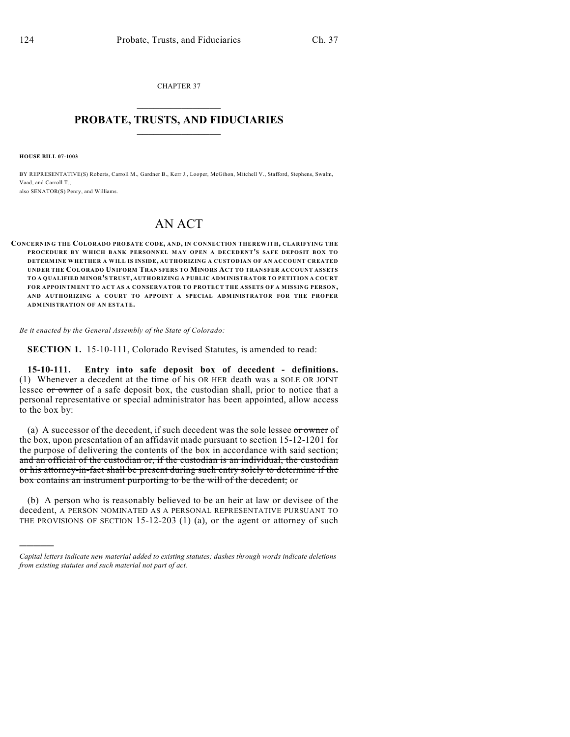CHAPTER 37  $\mathcal{L}_\text{max}$  . The set of the set of the set of the set of the set of the set of the set of the set of the set of the set of the set of the set of the set of the set of the set of the set of the set of the set of the set

## **PROBATE, TRUSTS, AND FIDUCIARIES**  $\overline{\phantom{a}}$

**HOUSE BILL 07-1003**

)))))

BY REPRESENTATIVE(S) Roberts, Carroll M., Gardner B., Kerr J., Looper, McGihon, Mitchell V., Stafford, Stephens, Swalm, Vaad, and Carroll T.; also SENATOR(S) Penry, and Williams.

## AN ACT

**CONCERNING THE COLORADO PROBATE CODE, AND, IN CONNECTION THEREWITH, CLARIFYING THE PROCEDURE BY WHICH BANK PERSONNEL MAY OPEN A DECEDENT'S SAFE DEPOSIT BOX TO DETERMINE WHETHER A WILL IS INSIDE, AUTHORIZING A CUSTODIAN OF AN ACCOUNT CREATED UNDER THE COLORADO UNIFORM TRANSFERS TO MINORS ACT TO TRANSFER ACCOUNT ASSETS TO A QUALIFIED MINOR'S TRUST, AUTHORIZING A PUBLIC ADMINISTRATOR TO PETITION A COURT FOR APPOINTMENT TO ACT AS A CONSERVATOR TO PROTECT THE ASSETS OF A MISSING PERSON, AND AUTHORIZING A COURT TO APPOINT A SPECIAL ADMINISTRATOR FOR THE PROPER ADMINISTRATION OF AN ESTATE.**

*Be it enacted by the General Assembly of the State of Colorado:*

**SECTION 1.** 15-10-111, Colorado Revised Statutes, is amended to read:

**15-10-111. Entry into safe deposit box of decedent - definitions.** (1) Whenever a decedent at the time of his OR HER death was a SOLE OR JOINT lessee or owner of a safe deposit box, the custodian shall, prior to notice that a personal representative or special administrator has been appointed, allow access to the box by:

(a) A successor of the decedent, if such decedent was the sole lessee  $\sigma r$  owner of the box, upon presentation of an affidavit made pursuant to section 15-12-1201 for the purpose of delivering the contents of the box in accordance with said section; and an official of the custodian or, if the custodian is an individual, the custodian or his attorney-in-fact shall be present during such entry solely to determine if the box contains an instrument purporting to be the will of the decedent; or

(b) A person who is reasonably believed to be an heir at law or devisee of the decedent, A PERSON NOMINATED AS A PERSONAL REPRESENTATIVE PURSUANT TO THE PROVISIONS OF SECTION 15-12-203 (1) (a), or the agent or attorney of such

*Capital letters indicate new material added to existing statutes; dashes through words indicate deletions from existing statutes and such material not part of act.*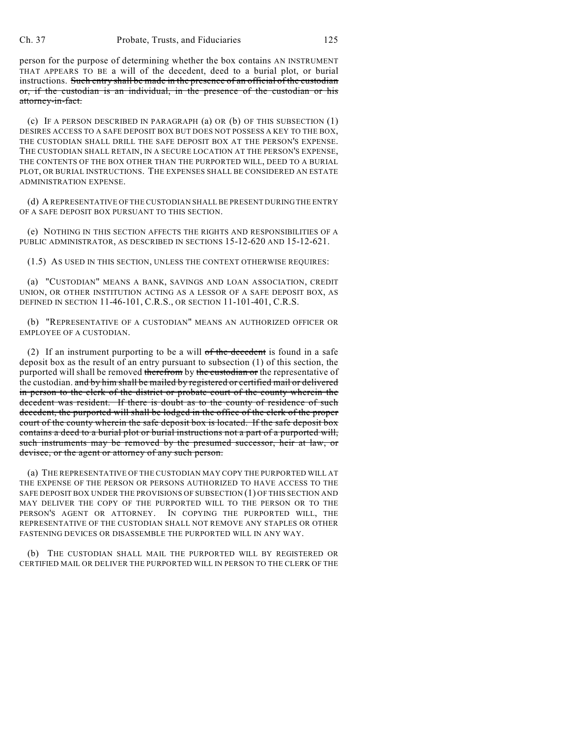person for the purpose of determining whether the box contains AN INSTRUMENT THAT APPEARS TO BE a will of the decedent, deed to a burial plot, or burial instructions. Such entry shall be made in the presence of an official of the custodian or, if the custodian is an individual, in the presence of the custodian or his attorney-in-fact.

(c) IF A PERSON DESCRIBED IN PARAGRAPH (a) OR (b) OF THIS SUBSECTION (1) DESIRES ACCESS TO A SAFE DEPOSIT BOX BUT DOES NOT POSSESS A KEY TO THE BOX, THE CUSTODIAN SHALL DRILL THE SAFE DEPOSIT BOX AT THE PERSON'S EXPENSE. THE CUSTODIAN SHALL RETAIN, IN A SECURE LOCATION AT THE PERSON'S EXPENSE, THE CONTENTS OF THE BOX OTHER THAN THE PURPORTED WILL, DEED TO A BURIAL PLOT, OR BURIAL INSTRUCTIONS. THE EXPENSES SHALL BE CONSIDERED AN ESTATE ADMINISTRATION EXPENSE.

(d) A REPRESENTATIVE OF THE CUSTODIAN SHALL BE PRESENT DURING THE ENTRY OF A SAFE DEPOSIT BOX PURSUANT TO THIS SECTION.

(e) NOTHING IN THIS SECTION AFFECTS THE RIGHTS AND RESPONSIBILITIES OF A PUBLIC ADMINISTRATOR, AS DESCRIBED IN SECTIONS 15-12-620 AND 15-12-621.

(1.5) AS USED IN THIS SECTION, UNLESS THE CONTEXT OTHERWISE REQUIRES:

(a) "CUSTODIAN" MEANS A BANK, SAVINGS AND LOAN ASSOCIATION, CREDIT UNION, OR OTHER INSTITUTION ACTING AS A LESSOR OF A SAFE DEPOSIT BOX, AS DEFINED IN SECTION 11-46-101, C.R.S., OR SECTION 11-101-401, C.R.S.

(b) "REPRESENTATIVE OF A CUSTODIAN" MEANS AN AUTHORIZED OFFICER OR EMPLOYEE OF A CUSTODIAN.

(2) If an instrument purporting to be a will  $of$  the decedent is found in a safe deposit box as the result of an entry pursuant to subsection (1) of this section, the purported will shall be removed therefrom by the custodian or the representative of the custodian. and by him shall be mailed by registered or certified mail or delivered in person to the clerk of the district or probate court of the county wherein the decedent was resident. If there is doubt as to the county of residence of such decedent, the purported will shall be lodged in the office of the clerk of the proper court of the county wherein the safe deposit box is located. If the safe deposit box contains a deed to a burial plot or burial instructions not a part of a purported will, such instruments may be removed by the presumed successor, heir at law, or devisee, or the agent or attorney of any such person.

(a) THE REPRESENTATIVE OF THE CUSTODIAN MAY COPY THE PURPORTED WILL AT THE EXPENSE OF THE PERSON OR PERSONS AUTHORIZED TO HAVE ACCESS TO THE SAFE DEPOSIT BOX UNDER THE PROVISIONS OF SUBSECTION (1) OF THIS SECTION AND MAY DELIVER THE COPY OF THE PURPORTED WILL TO THE PERSON OR TO THE PERSON'S AGENT OR ATTORNEY. IN COPYING THE PURPORTED WILL, THE REPRESENTATIVE OF THE CUSTODIAN SHALL NOT REMOVE ANY STAPLES OR OTHER FASTENING DEVICES OR DISASSEMBLE THE PURPORTED WILL IN ANY WAY.

(b) THE CUSTODIAN SHALL MAIL THE PURPORTED WILL BY REGISTERED OR CERTIFIED MAIL OR DELIVER THE PURPORTED WILL IN PERSON TO THE CLERK OF THE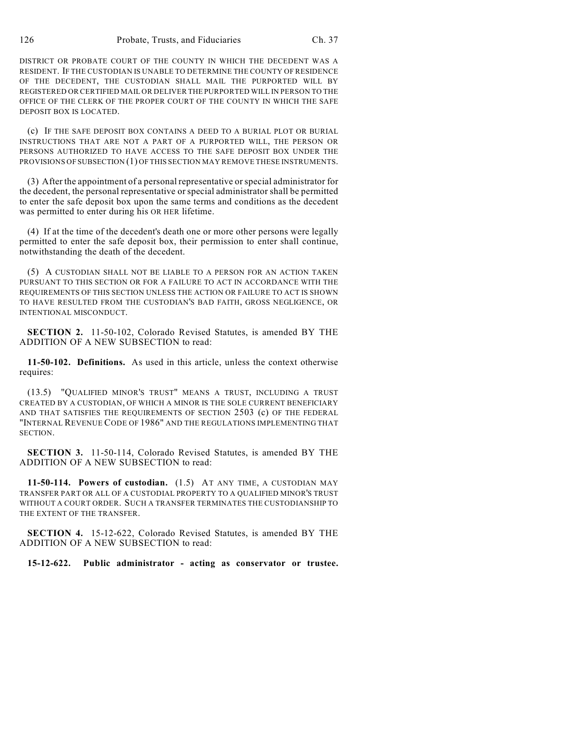DISTRICT OR PROBATE COURT OF THE COUNTY IN WHICH THE DECEDENT WAS A RESIDENT. IF THE CUSTODIAN IS UNABLE TO DETERMINE THE COUNTY OF RESIDENCE OF THE DECEDENT, THE CUSTODIAN SHALL MAIL THE PURPORTED WILL BY REGISTERED OR CERTIFIED MAIL OR DELIVER THE PURPORTED WILL IN PERSON TO THE OFFICE OF THE CLERK OF THE PROPER COURT OF THE COUNTY IN WHICH THE SAFE DEPOSIT BOX IS LOCATED.

(c) IF THE SAFE DEPOSIT BOX CONTAINS A DEED TO A BURIAL PLOT OR BURIAL INSTRUCTIONS THAT ARE NOT A PART OF A PURPORTED WILL, THE PERSON OR PERSONS AUTHORIZED TO HAVE ACCESS TO THE SAFE DEPOSIT BOX UNDER THE PROVISIONS OF SUBSECTION (1) OF THIS SECTION MAY REMOVE THESE INSTRUMENTS.

(3) After the appointment of a personal representative orspecial administrator for the decedent, the personal representative orspecial administrator shall be permitted to enter the safe deposit box upon the same terms and conditions as the decedent was permitted to enter during his OR HER lifetime.

(4) If at the time of the decedent's death one or more other persons were legally permitted to enter the safe deposit box, their permission to enter shall continue, notwithstanding the death of the decedent.

(5) A CUSTODIAN SHALL NOT BE LIABLE TO A PERSON FOR AN ACTION TAKEN PURSUANT TO THIS SECTION OR FOR A FAILURE TO ACT IN ACCORDANCE WITH THE REQUIREMENTS OF THIS SECTION UNLESS THE ACTION OR FAILURE TO ACT IS SHOWN TO HAVE RESULTED FROM THE CUSTODIAN'S BAD FAITH, GROSS NEGLIGENCE, OR INTENTIONAL MISCONDUCT.

**SECTION 2.** 11-50-102, Colorado Revised Statutes, is amended BY THE ADDITION OF A NEW SUBSECTION to read:

**11-50-102. Definitions.** As used in this article, unless the context otherwise requires:

(13.5) "QUALIFIED MINOR'S TRUST" MEANS A TRUST, INCLUDING A TRUST CREATED BY A CUSTODIAN, OF WHICH A MINOR IS THE SOLE CURRENT BENEFICIARY AND THAT SATISFIES THE REQUIREMENTS OF SECTION 2503 (c) OF THE FEDERAL "INTERNAL REVENUE CODE OF 1986" AND THE REGULATIONS IMPLEMENTING THAT SECTION.

**SECTION 3.** 11-50-114, Colorado Revised Statutes, is amended BY THE ADDITION OF A NEW SUBSECTION to read:

**11-50-114. Powers of custodian.** (1.5) AT ANY TIME, A CUSTODIAN MAY TRANSFER PART OR ALL OF A CUSTODIAL PROPERTY TO A QUALIFIED MINOR'S TRUST WITHOUT A COURT ORDER. SUCH A TRANSFER TERMINATES THE CUSTODIANSHIP TO THE EXTENT OF THE TRANSFER.

**SECTION 4.** 15-12-622, Colorado Revised Statutes, is amended BY THE ADDITION OF A NEW SUBSECTION to read:

**15-12-622. Public administrator - acting as conservator or trustee.**